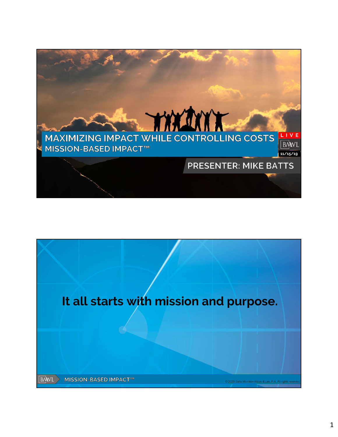

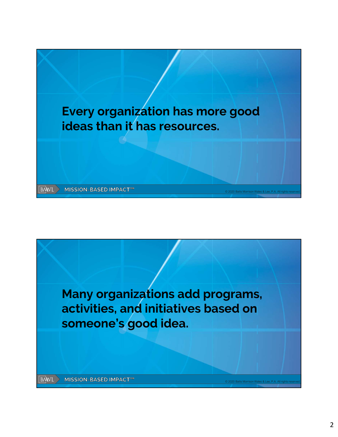

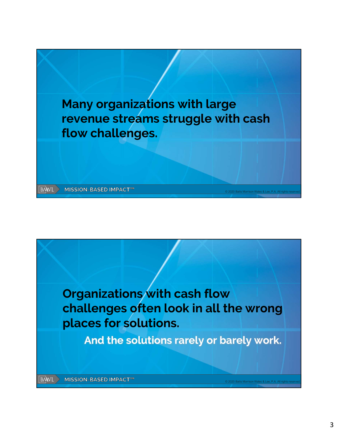

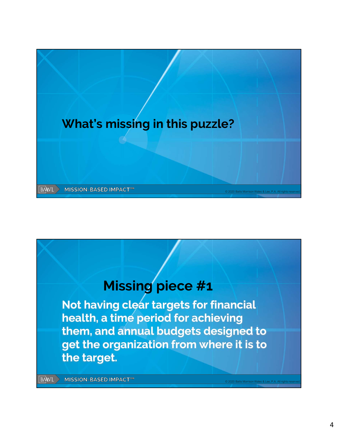

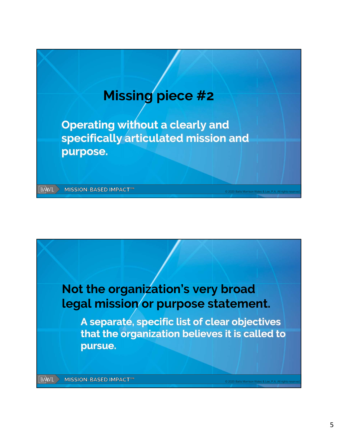

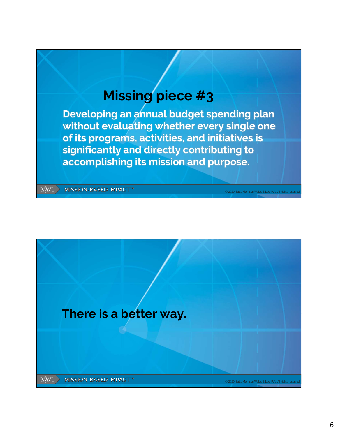## Missing piece #3

Developing an annual budget spending plan without evaluating whether every single one of its programs, activities, and initiatives is significantly and directly contributing to accomplishing its mission and purpose.

**BAWL MISSION-BASED IMPACT™** 

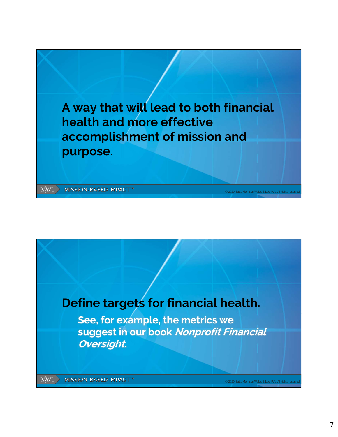

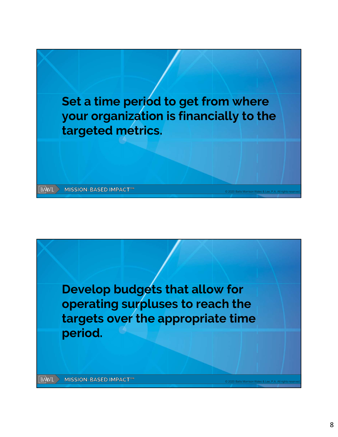

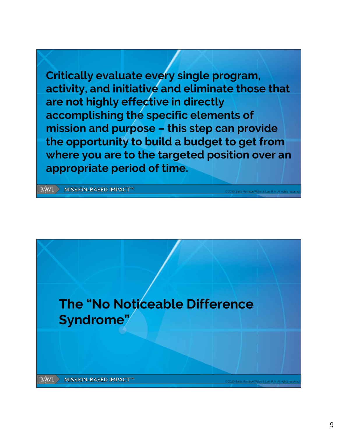Critically evaluate every single program, activity, and initiative and eliminate those that are not highly effective in directly accomplishing the specific elements of Critically evaluate every single program,<br>activity, and initiative and eliminate those that<br>are not highly effective in directly<br>accomplishing the specific elements of<br>mission and purpose – this step can provide<br>the opport the opportunity to build a budget to get from where you are to the targeted position over an appropriate period of time.

**BAWL > MISSION-BASED IMPACT™** 

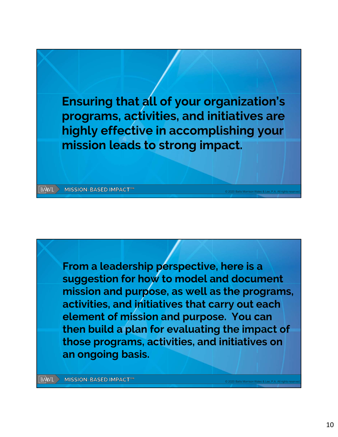

From a leadership perspective, here is a suggestion for how to model and document mission and purpose, as well as the programs, activities, and initiatives that carry out each element of mission and purpose. You can then build a plan for evaluating the impact of those programs, activities, and initiatives on an ongoing basis.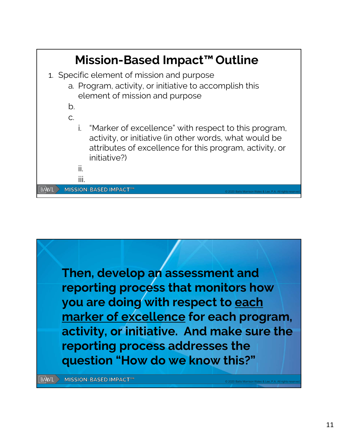